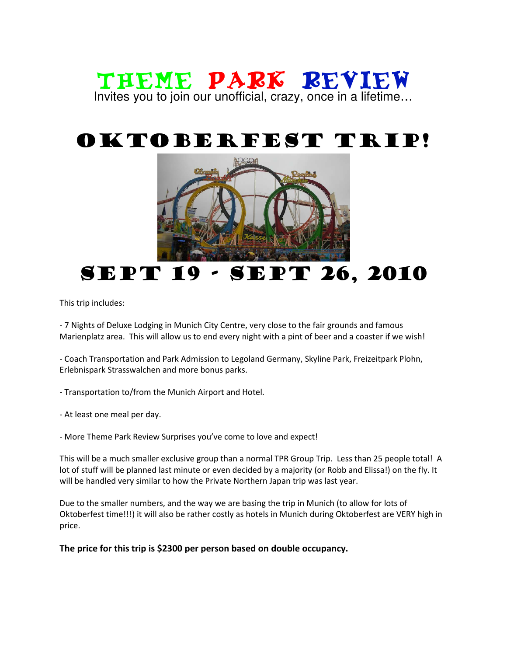### Theme Park Review Invites you to join our unofficial, crazy, once in a lifetime…

# Oktoberfest Trip!



## SEPT 19 - SEPT 26, 2010

This trip includes:

- 7 Nights of Deluxe Lodging in Munich City Centre, very close to the fair grounds and famous Marienplatz area. This will allow us to end every night with a pint of beer and a coaster if we wish!

- Coach Transportation and Park Admission to Legoland Germany, Skyline Park, Freizeitpark Plohn, Erlebnispark Strasswalchen and more bonus parks.

- Transportation to/from the Munich Airport and Hotel.

- At least one meal per day.

- More Theme Park Review Surprises you've come to love and expect!

This will be a much smaller exclusive group than a normal TPR Group Trip. Less than 25 people total! A lot of stuff will be planned last minute or even decided by a majority (or Robb and Elissa!) on the fly. It will be handled very similar to how the Private Northern Japan trip was last year.

Due to the smaller numbers, and the way we are basing the trip in Munich (to allow for lots of Oktoberfest time!!!) it will also be rather costly as hotels in Munich during Oktoberfest are VERY high in price.

The price for this trip is \$2300 per person based on double occupancy.